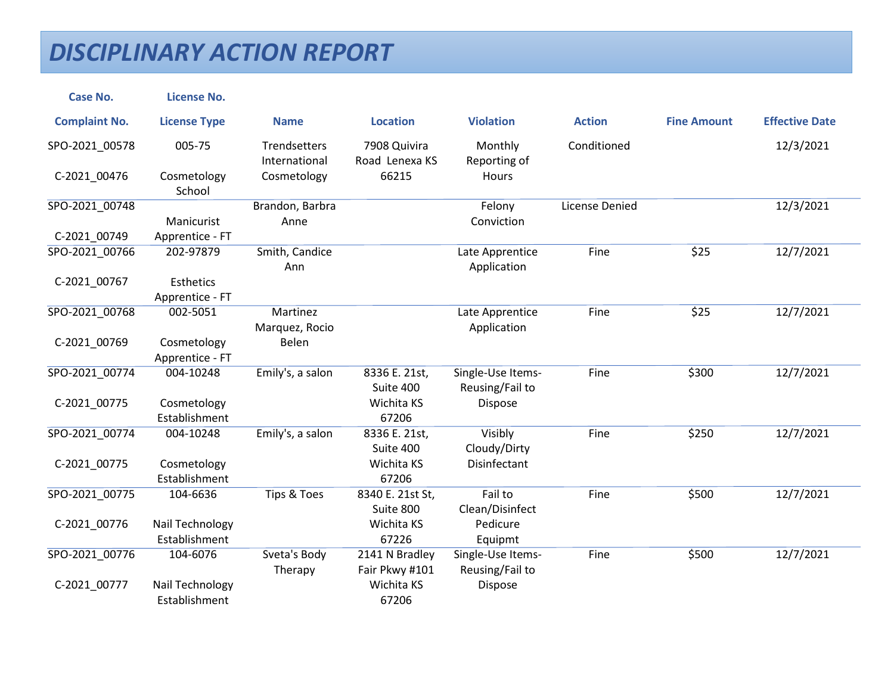| <b>Case No.</b>      | <b>License No.</b>           |                               |                                |                                      |                       |                    |                       |
|----------------------|------------------------------|-------------------------------|--------------------------------|--------------------------------------|-----------------------|--------------------|-----------------------|
| <b>Complaint No.</b> | <b>License Type</b>          | <b>Name</b>                   | <b>Location</b>                | <b>Violation</b>                     | <b>Action</b>         | <b>Fine Amount</b> | <b>Effective Date</b> |
| SPO-2021_00578       | 005-75                       | Trendsetters<br>International | 7908 Quivira<br>Road Lenexa KS | Monthly<br>Reporting of              | Conditioned           |                    | 12/3/2021             |
| C-2021 00476         | Cosmetology<br>School        | Cosmetology                   | 66215                          | Hours                                |                       |                    |                       |
| SPO-2021_00748       |                              | Brandon, Barbra               |                                | Felony                               | <b>License Denied</b> |                    | 12/3/2021             |
|                      | Manicurist                   | Anne                          |                                | Conviction                           |                       |                    |                       |
| C-2021_00749         | Apprentice - FT              |                               |                                |                                      |                       |                    |                       |
| SPO-2021 00766       | 202-97879                    | Smith, Candice<br>Ann         |                                | Late Apprentice<br>Application       | Fine                  | \$25               | 12/7/2021             |
| C-2021 00767         | Esthetics<br>Apprentice - FT |                               |                                |                                      |                       |                    |                       |
| SPO-2021_00768       | 002-5051                     | Martinez                      |                                | Late Apprentice                      | Fine                  | \$25               | 12/7/2021             |
|                      |                              | Marquez, Rocio                |                                | Application                          |                       |                    |                       |
| C-2021 00769         | Cosmetology                  | Belen                         |                                |                                      |                       |                    |                       |
|                      | Apprentice - FT              |                               |                                |                                      |                       |                    |                       |
| SPO-2021 00774       | 004-10248                    | Emily's, a salon              | 8336 E. 21st,<br>Suite 400     | Single-Use Items-<br>Reusing/Fail to | Fine                  | \$300              | 12/7/2021             |
| C-2021_00775         | Cosmetology                  |                               | Wichita KS                     | Dispose                              |                       |                    |                       |
|                      | Establishment                |                               | 67206                          |                                      |                       |                    |                       |
| SPO-2021 00774       | 004-10248                    | Emily's, a salon              | 8336 E. 21st,<br>Suite 400     | Visibly<br>Cloudy/Dirty              | Fine                  | \$250              | 12/7/2021             |
| C-2021_00775         | Cosmetology                  |                               | Wichita KS                     | Disinfectant                         |                       |                    |                       |
|                      | Establishment                |                               | 67206                          |                                      |                       |                    |                       |
| SPO-2021_00775       | 104-6636                     | Tips & Toes                   | 8340 E. 21st St,               | Fail to                              | Fine                  | \$500              | 12/7/2021             |
|                      |                              |                               | Suite 800                      | Clean/Disinfect                      |                       |                    |                       |
| C-2021 00776         | Nail Technology              |                               | Wichita KS                     | Pedicure                             |                       |                    |                       |
|                      | Establishment                |                               | 67226                          | Equipmt                              |                       |                    |                       |
| SPO-2021 00776       | 104-6076                     | Sveta's Body                  | 2141 N Bradley                 | Single-Use Items-                    | Fine                  | \$500              | 12/7/2021             |
|                      |                              | Therapy                       | Fair Pkwy #101                 | Reusing/Fail to                      |                       |                    |                       |
| C-2021_00777         | Nail Technology              |                               | Wichita KS                     | Dispose                              |                       |                    |                       |
|                      | Establishment                |                               | 67206                          |                                      |                       |                    |                       |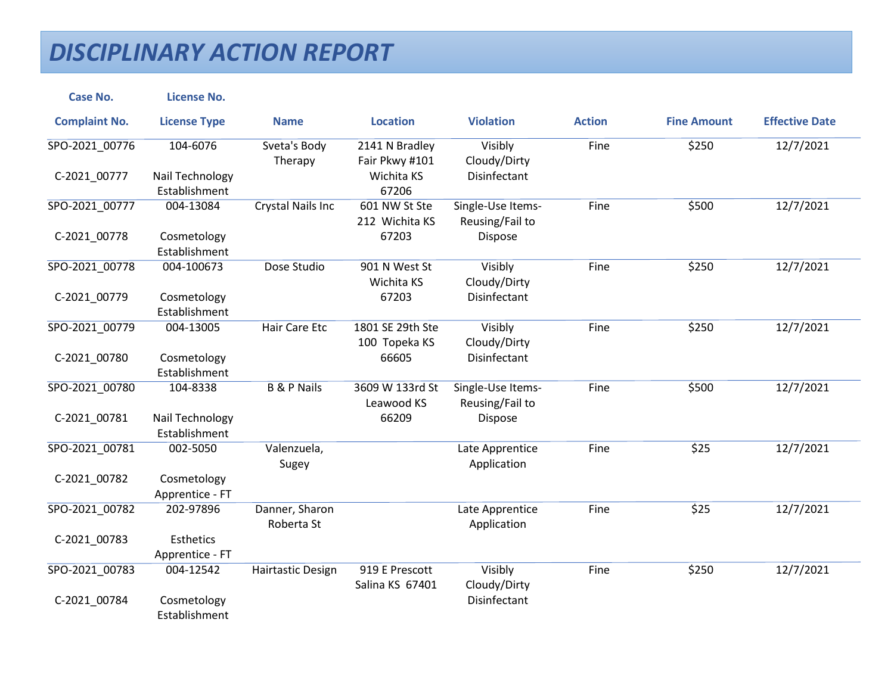| <b>Case No.</b>      | <b>License No.</b>                  |                              |                                   |                                      |               |                    |                       |
|----------------------|-------------------------------------|------------------------------|-----------------------------------|--------------------------------------|---------------|--------------------|-----------------------|
| <b>Complaint No.</b> | <b>License Type</b>                 | <b>Name</b>                  | <b>Location</b>                   | <b>Violation</b>                     | <b>Action</b> | <b>Fine Amount</b> | <b>Effective Date</b> |
| SPO-2021_00776       | 104-6076                            | Sveta's Body<br>Therapy      | 2141 N Bradley<br>Fair Pkwy #101  | Visibly<br>Cloudy/Dirty              | Fine          | \$250              | 12/7/2021             |
| C-2021 00777         | Nail Technology<br>Establishment    |                              | Wichita KS<br>67206               | <b>Disinfectant</b>                  |               |                    |                       |
| SPO-2021_00777       | 004-13084                           | <b>Crystal Nails Inc</b>     | 601 NW St Ste<br>212 Wichita KS   | Single-Use Items-<br>Reusing/Fail to | Fine          | \$500              | 12/7/2021             |
| C-2021_00778         | Cosmetology<br>Establishment        |                              | 67203                             | Dispose                              |               |                    |                       |
| SPO-2021_00778       | 004-100673                          | Dose Studio                  | 901 N West St<br>Wichita KS       | Visibly<br>Cloudy/Dirty              | Fine          | \$250              | 12/7/2021             |
| C-2021_00779         | Cosmetology<br>Establishment        |                              | 67203                             | Disinfectant                         |               |                    |                       |
| SPO-2021 00779       | 004-13005                           | Hair Care Etc                | 1801 SE 29th Ste<br>100 Topeka KS | Visibly<br>Cloudy/Dirty              | Fine          | \$250              | 12/7/2021             |
| C-2021_00780         | Cosmetology<br>Establishment        |                              | 66605                             | Disinfectant                         |               |                    |                       |
| SPO-2021_00780       | 104-8338                            | <b>B &amp; P Nails</b>       | 3609 W 133rd St<br>Leawood KS     | Single-Use Items-<br>Reusing/Fail to | Fine          | \$500              | 12/7/2021             |
| C-2021_00781         | Nail Technology<br>Establishment    |                              | 66209                             | Dispose                              |               |                    |                       |
| SPO-2021 00781       | 002-5050                            | Valenzuela,<br>Sugey         |                                   | Late Apprentice<br>Application       | Fine          | \$25               | 12/7/2021             |
| C-2021_00782         | Cosmetology<br>Apprentice - FT      |                              |                                   |                                      |               |                    |                       |
| SPO-2021 00782       | 202-97896                           | Danner, Sharon<br>Roberta St |                                   | Late Apprentice<br>Application       | Fine          | \$25               | 12/7/2021             |
| C-2021_00783         | <b>Esthetics</b><br>Apprentice - FT |                              |                                   |                                      |               |                    |                       |
| SPO-2021 00783       | 004-12542                           | <b>Hairtastic Design</b>     | 919 E Prescott<br>Salina KS 67401 | Visibly<br>Cloudy/Dirty              | Fine          | \$250              | 12/7/2021             |
| C-2021_00784         | Cosmetology<br>Establishment        |                              |                                   | Disinfectant                         |               |                    |                       |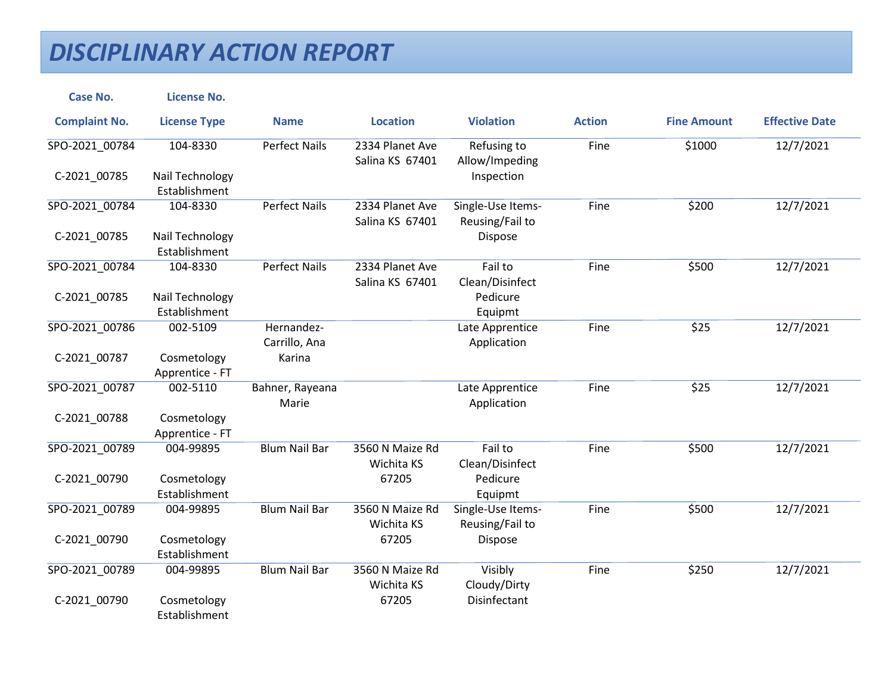| <b>Case No.</b>      | <b>License No.</b>               |                             |                                    |                                      |               |                    |                       |
|----------------------|----------------------------------|-----------------------------|------------------------------------|--------------------------------------|---------------|--------------------|-----------------------|
| <b>Complaint No.</b> | <b>License Type</b>              | <b>Name</b>                 | <b>Location</b>                    | <b>Violation</b>                     | <b>Action</b> | <b>Fine Amount</b> | <b>Effective Date</b> |
| SPO-2021_00784       | 104-8330                         | <b>Perfect Nails</b>        | 2334 Planet Ave<br>Salina KS 67401 | Refusing to<br>Allow/Impeding        | Fine          | \$1000             | 12/7/2021             |
| C-2021 00785         | Nail Technology<br>Establishment |                             |                                    | Inspection                           |               |                    |                       |
| SPO-2021 00784       | 104-8330                         | <b>Perfect Nails</b>        | 2334 Planet Ave<br>Salina KS 67401 | Single-Use Items-<br>Reusing/Fail to | Fine          | \$200              | 12/7/2021             |
| C-2021_00785         | Nail Technology<br>Establishment |                             |                                    | Dispose                              |               |                    |                       |
| SPO-2021_00784       | 104-8330                         | <b>Perfect Nails</b>        | 2334 Planet Ave<br>Salina KS 67401 | Fail to<br>Clean/Disinfect           | Fine          | \$500              | 12/7/2021             |
| C-2021_00785         | Nail Technology<br>Establishment |                             |                                    | Pedicure<br>Equipmt                  |               |                    |                       |
| SPO-2021 00786       | 002-5109                         | Hernandez-<br>Carrillo, Ana |                                    | Late Apprentice<br>Application       | Fine          | \$25               | 12/7/2021             |
| C-2021_00787         | Cosmetology<br>Apprentice - FT   | Karina                      |                                    |                                      |               |                    |                       |
| SPO-2021_00787       | 002-5110                         | Bahner, Rayeana<br>Marie    |                                    | Late Apprentice<br>Application       | Fine          | \$25               | 12/7/2021             |
| C-2021_00788         | Cosmetology<br>Apprentice - FT   |                             |                                    |                                      |               |                    |                       |
| SPO-2021 00789       | 004-99895                        | <b>Blum Nail Bar</b>        | 3560 N Maize Rd<br>Wichita KS      | Fail to<br>Clean/Disinfect           | Fine          | \$500              | 12/7/2021             |
| C-2021_00790         | Cosmetology<br>Establishment     |                             | 67205                              | Pedicure<br>Equipmt                  |               |                    |                       |
| SPO-2021 00789       | 004-99895                        | <b>Blum Nail Bar</b>        | 3560 N Maize Rd<br>Wichita KS      | Single-Use Items-<br>Reusing/Fail to | Fine          | \$500              | 12/7/2021             |
| C-2021_00790         | Cosmetology<br>Establishment     |                             | 67205                              | Dispose                              |               |                    |                       |
| SPO-2021 00789       | 004-99895                        | <b>Blum Nail Bar</b>        | 3560 N Maize Rd<br>Wichita KS      | Visibly<br>Cloudy/Dirty              | Fine          | \$250              | 12/7/2021             |
| C-2021_00790         | Cosmetology<br>Establishment     |                             | 67205                              | Disinfectant                         |               |                    |                       |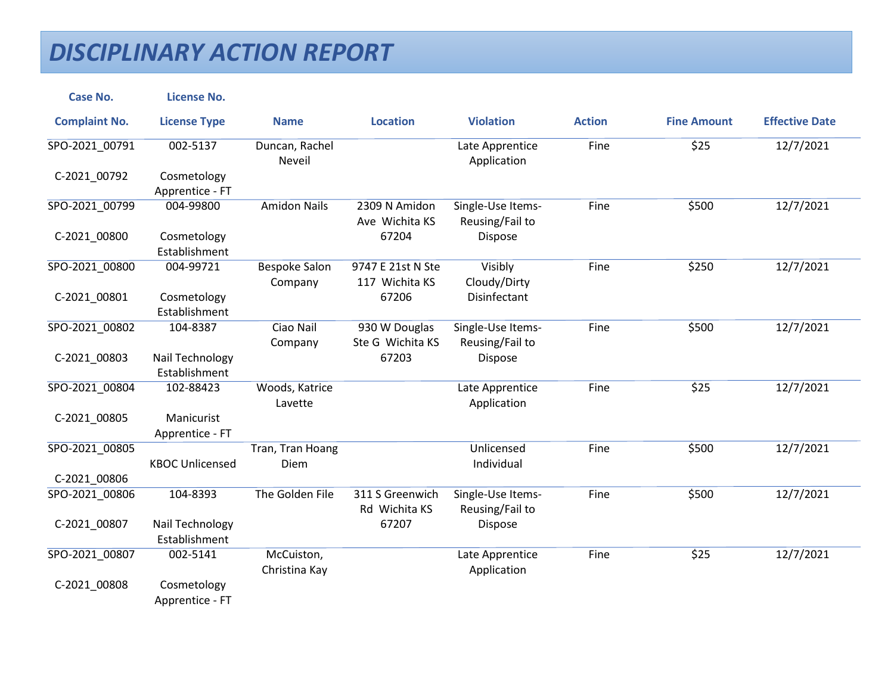| <b>Case No.</b>      | <b>License No.</b>               |                             |                                     |                                      |               |                    |                       |
|----------------------|----------------------------------|-----------------------------|-------------------------------------|--------------------------------------|---------------|--------------------|-----------------------|
| <b>Complaint No.</b> | <b>License Type</b>              | <b>Name</b>                 | <b>Location</b>                     | <b>Violation</b>                     | <b>Action</b> | <b>Fine Amount</b> | <b>Effective Date</b> |
| SPO-2021_00791       | 002-5137                         | Duncan, Rachel<br>Neveil    |                                     | Late Apprentice<br>Application       | Fine          | \$25               | 12/7/2021             |
| C-2021_00792         | Cosmetology<br>Apprentice - FT   |                             |                                     |                                      |               |                    |                       |
| SPO-2021_00799       | 004-99800                        | <b>Amidon Nails</b>         | 2309 N Amidon<br>Ave Wichita KS     | Single-Use Items-<br>Reusing/Fail to | Fine          | \$500              | 12/7/2021             |
| C-2021_00800         | Cosmetology<br>Establishment     |                             | 67204                               | Dispose                              |               |                    |                       |
| SPO-2021 00800       | 004-99721                        | Bespoke Salon<br>Company    | 9747 E 21st N Ste<br>117 Wichita KS | Visibly<br>Cloudy/Dirty              | Fine          | \$250              | 12/7/2021             |
| C-2021 00801         | Cosmetology<br>Establishment     |                             | 67206                               | <b>Disinfectant</b>                  |               |                    |                       |
| SPO-2021 00802       | 104-8387                         | Ciao Nail<br>Company        | 930 W Douglas<br>Ste G Wichita KS   | Single-Use Items-<br>Reusing/Fail to | Fine          | \$500              | 12/7/2021             |
| C-2021_00803         | Nail Technology<br>Establishment |                             | 67203                               | Dispose                              |               |                    |                       |
| SPO-2021 00804       | 102-88423                        | Woods, Katrice<br>Lavette   |                                     | Late Apprentice<br>Application       | Fine          | \$25               | 12/7/2021             |
| C-2021_00805         | Manicurist<br>Apprentice - FT    |                             |                                     |                                      |               |                    |                       |
| SPO-2021_00805       | <b>KBOC Unlicensed</b>           | Tran, Tran Hoang<br>Diem    |                                     | Unlicensed<br>Individual             | Fine          | \$500              | 12/7/2021             |
| C-2021 00806         |                                  |                             |                                     |                                      |               |                    |                       |
| SPO-2021 00806       | 104-8393                         | The Golden File             | 311 S Greenwich<br>Rd Wichita KS    | Single-Use Items-<br>Reusing/Fail to | Fine          | \$500              | 12/7/2021             |
| C-2021 00807         | Nail Technology<br>Establishment |                             | 67207                               | Dispose                              |               |                    |                       |
| SPO-2021_00807       | 002-5141                         | McCuiston,<br>Christina Kay |                                     | Late Apprentice<br>Application       | Fine          | \$25               | 12/7/2021             |
| C-2021_00808         | Cosmetology<br>Apprentice - FT   |                             |                                     |                                      |               |                    |                       |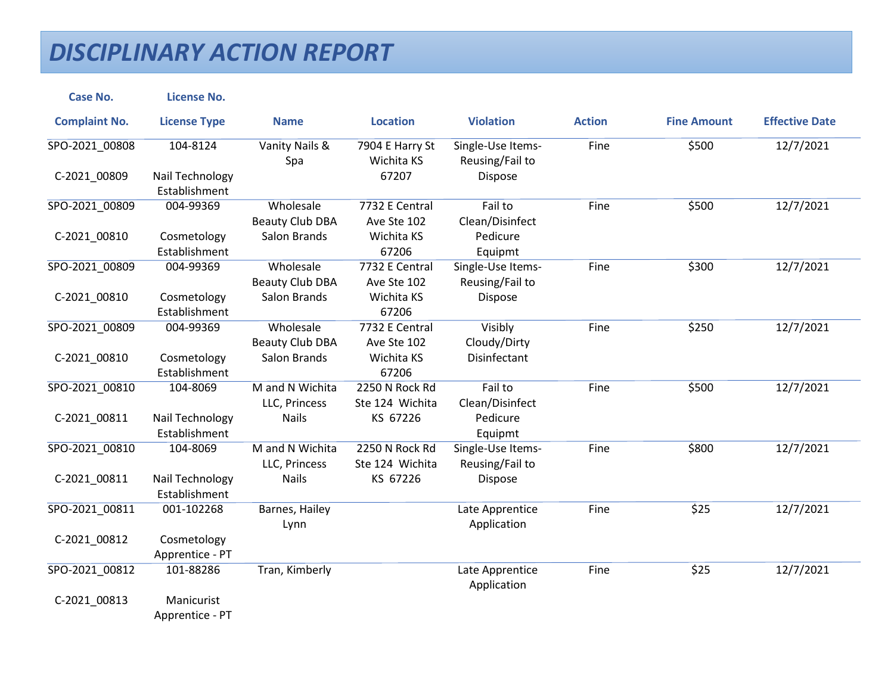| <b>Case No.</b>      | <b>License No.</b>               |                                     |                                   |                                      |               |                    |                       |
|----------------------|----------------------------------|-------------------------------------|-----------------------------------|--------------------------------------|---------------|--------------------|-----------------------|
| <b>Complaint No.</b> | <b>License Type</b>              | <b>Name</b>                         | <b>Location</b>                   | <b>Violation</b>                     | <b>Action</b> | <b>Fine Amount</b> | <b>Effective Date</b> |
| SPO-2021_00808       | 104-8124                         | Vanity Nails &<br>Spa               | 7904 E Harry St<br>Wichita KS     | Single-Use Items-<br>Reusing/Fail to | Fine          | \$500              | 12/7/2021             |
| C-2021 00809         | Nail Technology<br>Establishment |                                     | 67207                             | Dispose                              |               |                    |                       |
| SPO-2021_00809       | 004-99369                        | Wholesale<br><b>Beauty Club DBA</b> | 7732 E Central<br>Ave Ste 102     | Fail to<br>Clean/Disinfect           | Fine          | \$500              | 12/7/2021             |
| C-2021_00810         | Cosmetology<br>Establishment     | Salon Brands                        | Wichita KS<br>67206               | Pedicure<br>Equipmt                  |               |                    |                       |
| SPO-2021_00809       | 004-99369                        | Wholesale<br><b>Beauty Club DBA</b> | 7732 E Central<br>Ave Ste 102     | Single-Use Items-<br>Reusing/Fail to | Fine          | \$300              | 12/7/2021             |
| C-2021_00810         | Cosmetology<br>Establishment     | Salon Brands                        | Wichita KS<br>67206               | Dispose                              |               |                    |                       |
| SPO-2021 00809       | 004-99369                        | Wholesale<br><b>Beauty Club DBA</b> | 7732 E Central<br>Ave Ste 102     | Visibly<br>Cloudy/Dirty              | Fine          | \$250              | 12/7/2021             |
| C-2021 00810         | Cosmetology<br>Establishment     | Salon Brands                        | Wichita KS<br>67206               | <b>Disinfectant</b>                  |               |                    |                       |
| SPO-2021 00810       | 104-8069                         | M and N Wichita<br>LLC, Princess    | 2250 N Rock Rd<br>Ste 124 Wichita | Fail to<br>Clean/Disinfect           | Fine          | \$500              | 12/7/2021             |
| C-2021_00811         | Nail Technology<br>Establishment | <b>Nails</b>                        | KS 67226                          | Pedicure<br>Equipmt                  |               |                    |                       |
| SPO-2021_00810       | 104-8069                         | M and N Wichita<br>LLC, Princess    | 2250 N Rock Rd<br>Ste 124 Wichita | Single-Use Items-<br>Reusing/Fail to | Fine          | \$800              | 12/7/2021             |
| C-2021_00811         | Nail Technology<br>Establishment | <b>Nails</b>                        | KS 67226                          | Dispose                              |               |                    |                       |
| SPO-2021 00811       | 001-102268                       | Barnes, Hailey<br>Lynn              |                                   | Late Apprentice<br>Application       | Fine          | \$25               | 12/7/2021             |
| C-2021_00812         | Cosmetology<br>Apprentice - PT   |                                     |                                   |                                      |               |                    |                       |
| SPO-2021_00812       | 101-88286                        | Tran, Kimberly                      |                                   | Late Apprentice<br>Application       | Fine          | \$25               | 12/7/2021             |
| C-2021_00813         | Manicurist<br>Apprentice - PT    |                                     |                                   |                                      |               |                    |                       |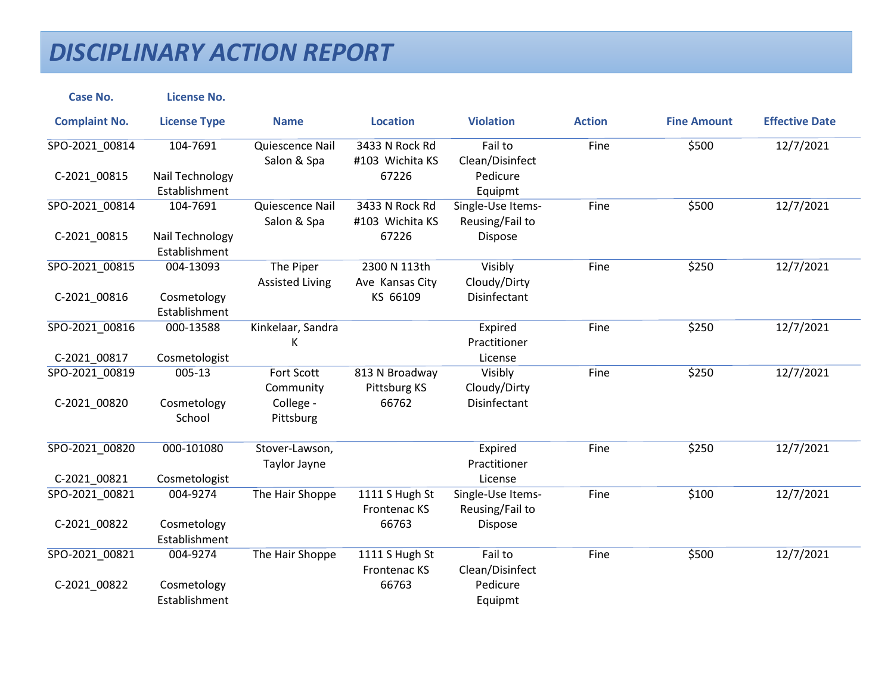| <b>Case No.</b>      | <b>License No.</b>               |                                     |                                   |                                      |               |                    |                       |
|----------------------|----------------------------------|-------------------------------------|-----------------------------------|--------------------------------------|---------------|--------------------|-----------------------|
| <b>Complaint No.</b> | <b>License Type</b>              | <b>Name</b>                         | <b>Location</b>                   | <b>Violation</b>                     | <b>Action</b> | <b>Fine Amount</b> | <b>Effective Date</b> |
| SPO-2021_00814       | 104-7691                         | Quiescence Nail<br>Salon & Spa      | 3433 N Rock Rd<br>#103 Wichita KS | Fail to<br>Clean/Disinfect           | Fine          | \$500              | 12/7/2021             |
| C-2021_00815         | Nail Technology<br>Establishment |                                     | 67226                             | Pedicure<br>Equipmt                  |               |                    |                       |
| SPO-2021_00814       | 104-7691                         | Quiescence Nail<br>Salon & Spa      | 3433 N Rock Rd<br>#103 Wichita KS | Single-Use Items-<br>Reusing/Fail to | Fine          | \$500              | 12/7/2021             |
| C-2021_00815         | Nail Technology<br>Establishment |                                     | 67226                             | Dispose                              |               |                    |                       |
| SPO-2021 00815       | 004-13093                        | The Piper<br><b>Assisted Living</b> | 2300 N 113th<br>Ave Kansas City   | Visibly<br>Cloudy/Dirty              | Fine          | \$250              | 12/7/2021             |
| C-2021_00816         | Cosmetology<br>Establishment     |                                     | KS 66109                          | Disinfectant                         |               |                    |                       |
| SPO-2021_00816       | 000-13588                        | Kinkelaar, Sandra<br>Κ              |                                   | Expired<br>Practitioner              | Fine          | \$250              | 12/7/2021             |
| C-2021_00817         | Cosmetologist                    |                                     |                                   | License                              |               |                    |                       |
| SPO-2021_00819       | $005 - 13$                       | Fort Scott<br>Community             | 813 N Broadway<br>Pittsburg KS    | Visibly<br>Cloudy/Dirty              | Fine          | \$250              | 12/7/2021             |
| C-2021_00820         | Cosmetology<br>School            | College -<br>Pittsburg              | 66762                             | Disinfectant                         |               |                    |                       |
| SPO-2021 00820       | 000-101080                       | Stover-Lawson,<br>Taylor Jayne      |                                   | Expired<br>Practitioner              | Fine          | \$250              | 12/7/2021             |
| C-2021 00821         | Cosmetologist                    |                                     |                                   | License                              |               |                    |                       |
| SPO-2021 00821       | 004-9274                         | The Hair Shoppe                     | 1111 S Hugh St<br>Frontenac KS    | Single-Use Items-<br>Reusing/Fail to | Fine          | \$100              | 12/7/2021             |
| C-2021 00822         | Cosmetology<br>Establishment     |                                     | 66763                             | Dispose                              |               |                    |                       |
| SPO-2021 00821       | 004-9274                         | The Hair Shoppe                     | 1111 S Hugh St<br>Frontenac KS    | Fail to<br>Clean/Disinfect           | Fine          | \$500              | 12/7/2021             |
| C-2021_00822         | Cosmetology<br>Establishment     |                                     | 66763                             | Pedicure<br>Equipmt                  |               |                    |                       |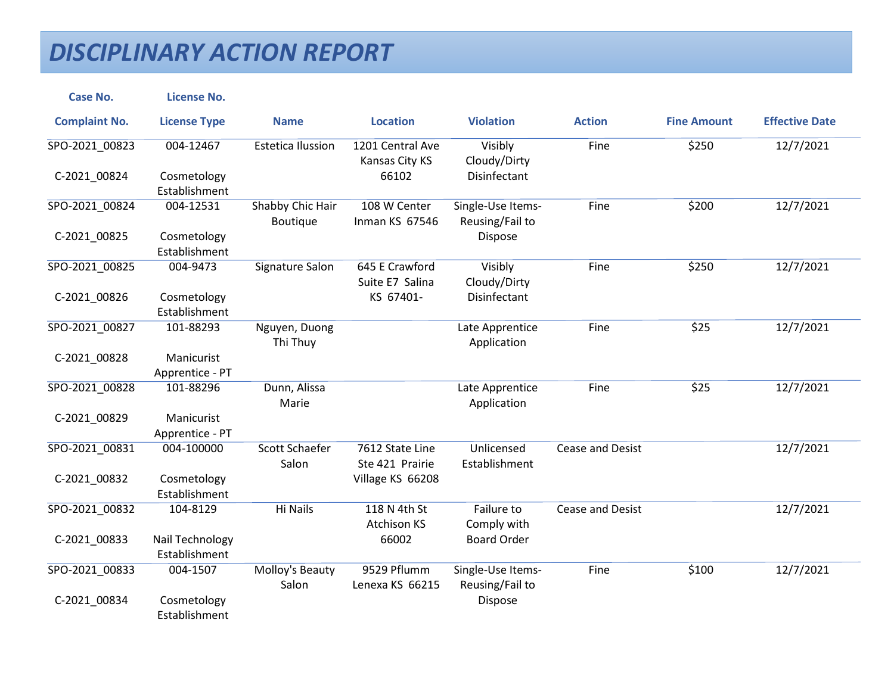| <b>Case No.</b>      | <b>License No.</b>               |                                 |                                    |                                      |                         |                    |                       |
|----------------------|----------------------------------|---------------------------------|------------------------------------|--------------------------------------|-------------------------|--------------------|-----------------------|
| <b>Complaint No.</b> | <b>License Type</b>              | <b>Name</b>                     | <b>Location</b>                    | <b>Violation</b>                     | <b>Action</b>           | <b>Fine Amount</b> | <b>Effective Date</b> |
| SPO-2021_00823       | 004-12467                        | <b>Estetica Ilussion</b>        | 1201 Central Ave<br>Kansas City KS | Visibly<br>Cloudy/Dirty              | Fine                    | \$250              | 12/7/2021             |
| C-2021 00824         | Cosmetology<br>Establishment     |                                 | 66102                              | Disinfectant                         |                         |                    |                       |
| SPO-2021 00824       | 004-12531                        | Shabby Chic Hair<br>Boutique    | 108 W Center<br>Inman KS 67546     | Single-Use Items-<br>Reusing/Fail to | Fine                    | \$200              | 12/7/2021             |
| C-2021_00825         | Cosmetology<br>Establishment     |                                 |                                    | Dispose                              |                         |                    |                       |
| SPO-2021_00825       | 004-9473                         | Signature Salon                 | 645 E Crawford<br>Suite E7 Salina  | Visibly<br>Cloudy/Dirty              | Fine                    | \$250              | 12/7/2021             |
| C-2021_00826         | Cosmetology<br>Establishment     |                                 | KS 67401-                          | Disinfectant                         |                         |                    |                       |
| SPO-2021 00827       | 101-88293                        | Nguyen, Duong<br>Thi Thuy       |                                    | Late Apprentice<br>Application       | Fine                    | \$25               | 12/7/2021             |
| C-2021_00828         | Manicurist<br>Apprentice - PT    |                                 |                                    |                                      |                         |                    |                       |
| SPO-2021_00828       | 101-88296                        | Dunn, Alissa<br>Marie           |                                    | Late Apprentice<br>Application       | Fine                    | \$25               | 12/7/2021             |
| C-2021_00829         | Manicurist<br>Apprentice - PT    |                                 |                                    |                                      |                         |                    |                       |
| SPO-2021 00831       | 004-100000                       | <b>Scott Schaefer</b><br>Salon  | 7612 State Line<br>Ste 421 Prairie | Unlicensed<br>Establishment          | <b>Cease and Desist</b> |                    | 12/7/2021             |
| C-2021_00832         | Cosmetology<br>Establishment     |                                 | Village KS 66208                   |                                      |                         |                    |                       |
| SPO-2021 00832       | 104-8129                         | <b>Hi Nails</b>                 | 118 N 4th St<br><b>Atchison KS</b> | Failure to<br>Comply with            | Cease and Desist        |                    | 12/7/2021             |
| C-2021_00833         | Nail Technology<br>Establishment |                                 | 66002                              | <b>Board Order</b>                   |                         |                    |                       |
| SPO-2021 00833       | 004-1507                         | <b>Molloy's Beauty</b><br>Salon | 9529 Pflumm<br>Lenexa KS 66215     | Single-Use Items-<br>Reusing/Fail to | Fine                    | \$100              | 12/7/2021             |
| C-2021_00834         | Cosmetology<br>Establishment     |                                 |                                    | Dispose                              |                         |                    |                       |